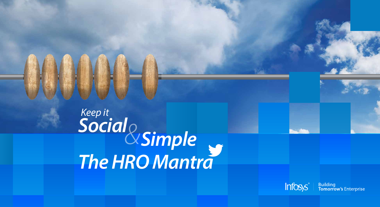### *Keep it Social The HRO Mantra &Simple*





**Building<br>Tomorrow's Enterprise**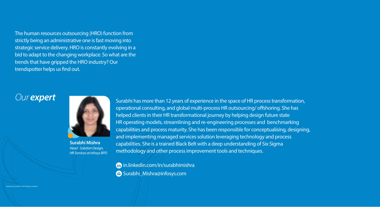The human resources outsourcing (HRO) function from strictly being an administrative one is fast moving into strategic service delivery. HRO is constantly evolving in a bid to adapt to the changing workplace. So what are the trends that have gripped the HRO industry? Our trendspotter helps us find out.

#### *Our expert*

External Document © 2014 Infosys Limited

 in.linkedin.com/in/surabhimishra Surabhi\_Mishra@infosys.com

Surabhi has more than 12 years of experience in the space of HR process transformation, operational consulting, and global multi-process HR outsourcing/ offshoring. She has helped clients in their HR transformational journey by helping design future state HR operating models, streamlining and re-engineering processes and benchmarking capabilities and process maturity. She has been responsible for conceptualising, designing, and implementing managed services solution leveraging technology and process capabilities. She is a trained Black Belt with a deep understanding of Six Sigma methodology and other process improvement tools and techniques.



**Surabhi Mishra** *Head - Solution Design, HR Services at Infosys BPO*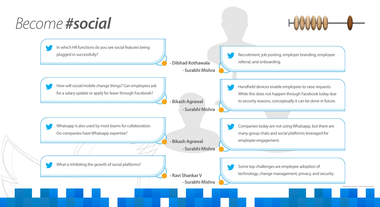### *Become #social*

Recruitment, job posting, employer branding, employee referral, and onboarding.

Some top challenges are employee adoption of technology, change management, privacy, and security.

External Document © 2014 Infosys Limite



## $H$

Companies today are not using Whatsapp, but there are many group chats and social platforms leveraged for employee engagement.

Handheld devices enable employees to raise requests. While this does not happen through Facebook today due

to security reasons, conceptually it can be done in future.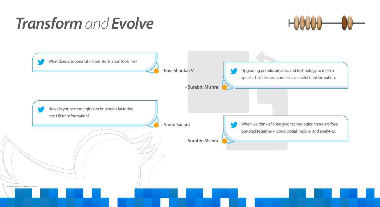## *Transform and Evolve*

Upgrading people, process, and technology to meet a specific business outcome is successful transformation.





When we think of emerging technologies, there are four, bundled together – cloud, social, mobile, and analytics.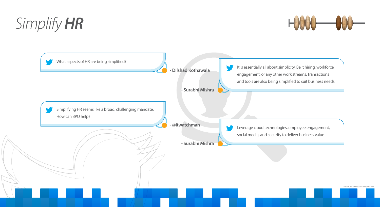# *Simplify HR*

It is essentially all about simplicity. Be it hiring, workforce engagement, or any other work streams. Transactions and tools are also being simplified to suit business needs.





Leverage cloud technologies, employee engagement, social media, and security to deliver business value.

External Document © 2014 Infosys Limited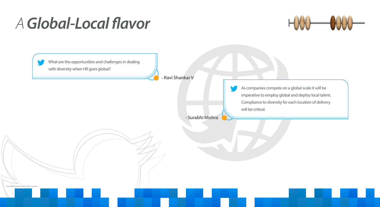## A Global-Local flavor





As companies compete on a global scale it will be imperative to employ global and deploy local talent. Compliance to diversity for each location of delivery will be critical.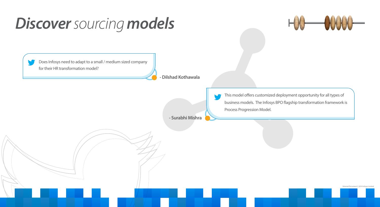## *Discover sourcing models*





This model offers customized deployment opportunity for all types of business models. The Infosys BPO flagship transformation framework is Process Progression Model.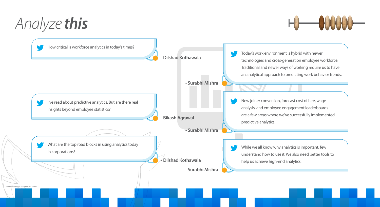# *Analyze this*

- Today's work environment is hybrid with newer
- technologies and cross-generation employee workforce.
- Traditional and newer ways of working require us to have
- an analytical approach to predicting work behavior trends.



#### $H \longrightarrow W$

New joiner conversion, forecast cost of hire, wage analysis, and employee engagement leaderboards are a few areas where we've successfully implemented predictive analytics.

While we all know why analytics is important, few understand how to use it. We also need better tools to help us achieve high-end analytics.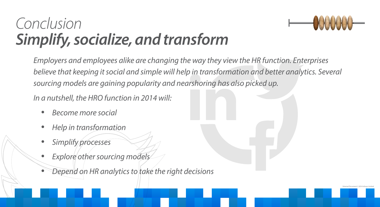## *Conclusion Simplify, socialize, and transform*

*Employers and employees alike are changing the way they view the HR function. Enterprises*  believe that keeping it social and simple will help in transformation and better analytics. Several *sourcing models are gaining popularity and nearshoring has also picked up.* 

*In a nutshell, the HRO function in 2014 will:*

- • *Become more social*
- • *Help in transformation*
- • *Simplify processes*
- • *Explore other sourcing models*
- • *Depend on HR analytics to take the right decisions*

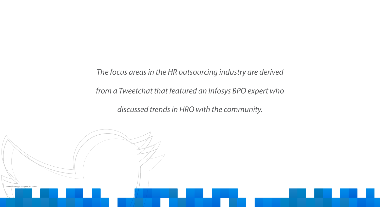#### *The focus areas in the HR outsourcing industry are derived*

*from a Tweetchat that featured an Infosys BPO expert who* 

*discussed trends in HRO with the community.*

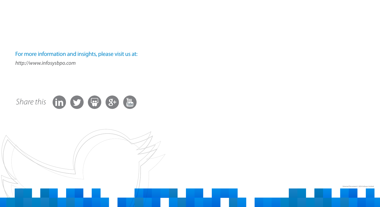External Document © 2014 Infosys Limited

#### For more information and insights, please visit us at:

*http://www.infosysbpo.com*